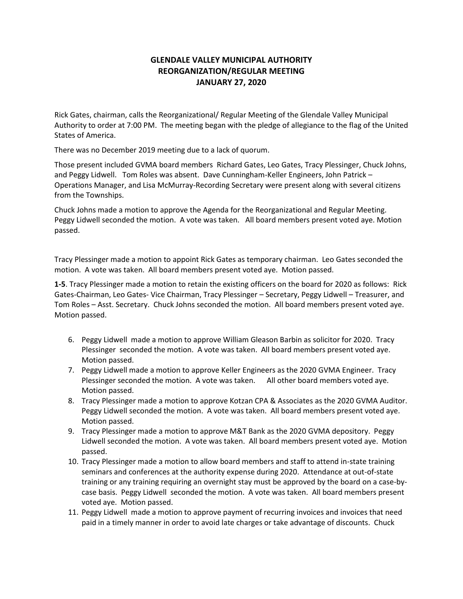# **GLENDALE VALLEY MUNICIPAL AUTHORITY REORGANIZATION/REGULAR MEETING JANUARY 27, 2020**

Rick Gates, chairman, calls the Reorganizational/ Regular Meeting of the Glendale Valley Municipal Authority to order at 7:00 PM. The meeting began with the pledge of allegiance to the flag of the United States of America.

There was no December 2019 meeting due to a lack of quorum.

Those present included GVMA board members Richard Gates, Leo Gates, Tracy Plessinger, Chuck Johns, and Peggy Lidwell. Tom Roles was absent. Dave Cunningham-Keller Engineers, John Patrick – Operations Manager, and Lisa McMurray-Recording Secretary were present along with several citizens from the Townships.

Chuck Johns made a motion to approve the Agenda for the Reorganizational and Regular Meeting. Peggy Lidwell seconded the motion. A vote was taken. All board members present voted aye. Motion passed.

Tracy Plessinger made a motion to appoint Rick Gates as temporary chairman. Leo Gates seconded the motion. A vote was taken. All board members present voted aye. Motion passed.

**1-5**. Tracy Plessinger made a motion to retain the existing officers on the board for 2020 as follows: Rick Gates-Chairman, Leo Gates- Vice Chairman, Tracy Plessinger – Secretary, Peggy Lidwell – Treasurer, and Tom Roles – Asst. Secretary. Chuck Johns seconded the motion. All board members present voted aye. Motion passed.

- 6. Peggy Lidwell made a motion to approve William Gleason Barbin as solicitor for 2020. Tracy Plessinger seconded the motion. A vote was taken. All board members present voted aye. Motion passed.
- 7. Peggy Lidwell made a motion to approve Keller Engineers as the 2020 GVMA Engineer. Tracy Plessinger seconded the motion. A vote was taken. All other board members voted aye. Motion passed.
- 8. Tracy Plessinger made a motion to approve Kotzan CPA & Associates as the 2020 GVMA Auditor. Peggy Lidwell seconded the motion. A vote was taken. All board members present voted aye. Motion passed.
- 9. Tracy Plessinger made a motion to approve M&T Bank as the 2020 GVMA depository. Peggy Lidwell seconded the motion. A vote was taken. All board members present voted aye. Motion passed.
- 10. Tracy Plessinger made a motion to allow board members and staff to attend in-state training seminars and conferences at the authority expense during 2020. Attendance at out-of-state training or any training requiring an overnight stay must be approved by the board on a case-bycase basis. Peggy Lidwell seconded the motion. A vote was taken. All board members present voted aye. Motion passed.
- 11. Peggy Lidwell made a motion to approve payment of recurring invoices and invoices that need paid in a timely manner in order to avoid late charges or take advantage of discounts. Chuck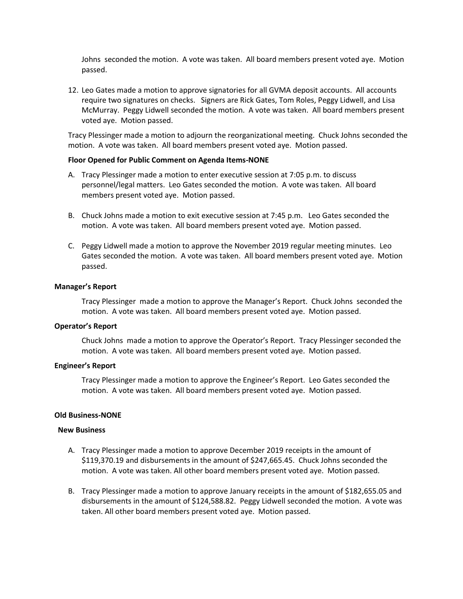Johns seconded the motion. A vote was taken. All board members present voted aye. Motion passed.

12. Leo Gates made a motion to approve signatories for all GVMA deposit accounts. All accounts require two signatures on checks. Signers are Rick Gates, Tom Roles, Peggy Lidwell, and Lisa McMurray. Peggy Lidwell seconded the motion. A vote was taken. All board members present voted aye. Motion passed.

Tracy Plessinger made a motion to adjourn the reorganizational meeting. Chuck Johns seconded the motion. A vote was taken. All board members present voted aye. Motion passed.

#### **Floor Opened for Public Comment on Agenda Items-NONE**

- A. Tracy Plessinger made a motion to enter executive session at 7:05 p.m. to discuss personnel/legal matters. Leo Gates seconded the motion. A vote was taken. All board members present voted aye. Motion passed.
- B. Chuck Johns made a motion to exit executive session at 7:45 p.m. Leo Gates seconded the motion. A vote was taken. All board members present voted aye. Motion passed.
- C. Peggy Lidwell made a motion to approve the November 2019 regular meeting minutes. Leo Gates seconded the motion. A vote was taken. All board members present voted aye. Motion passed.

#### **Manager's Report**

Tracy Plessinger made a motion to approve the Manager's Report. Chuck Johns seconded the motion. A vote was taken. All board members present voted aye. Motion passed.

### **Operator's Report**

Chuck Johns made a motion to approve the Operator's Report. Tracy Plessinger seconded the motion. A vote was taken. All board members present voted aye. Motion passed.

#### **Engineer's Report**

Tracy Plessinger made a motion to approve the Engineer's Report. Leo Gates seconded the motion. A vote was taken. All board members present voted aye. Motion passed.

#### **Old Business-NONE**

#### **New Business**

- A. Tracy Plessinger made a motion to approve December 2019 receipts in the amount of \$119,370.19 and disbursements in the amount of \$247,665.45. Chuck Johns seconded the motion. A vote was taken. All other board members present voted aye. Motion passed.
- B. Tracy Plessinger made a motion to approve January receipts in the amount of \$182,655.05 and disbursements in the amount of \$124,588.82. Peggy Lidwell seconded the motion. A vote was taken. All other board members present voted aye. Motion passed.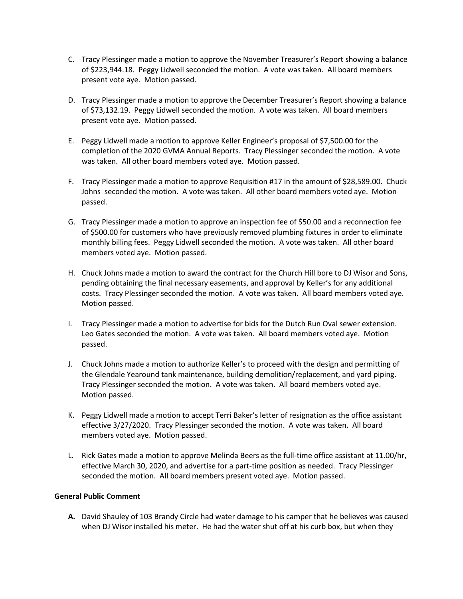- C. Tracy Plessinger made a motion to approve the November Treasurer's Report showing a balance of \$223,944.18. Peggy Lidwell seconded the motion. A vote was taken. All board members present vote aye. Motion passed.
- D. Tracy Plessinger made a motion to approve the December Treasurer's Report showing a balance of \$73,132.19. Peggy Lidwell seconded the motion. A vote was taken. All board members present vote aye. Motion passed.
- E. Peggy Lidwell made a motion to approve Keller Engineer's proposal of \$7,500.00 for the completion of the 2020 GVMA Annual Reports. Tracy Plessinger seconded the motion. A vote was taken. All other board members voted aye. Motion passed.
- F. Tracy Plessinger made a motion to approve Requisition #17 in the amount of \$28,589.00. Chuck Johns seconded the motion. A vote was taken. All other board members voted aye. Motion passed.
- G. Tracy Plessinger made a motion to approve an inspection fee of \$50.00 and a reconnection fee of \$500.00 for customers who have previously removed plumbing fixtures in order to eliminate monthly billing fees. Peggy Lidwell seconded the motion. A vote was taken. All other board members voted aye. Motion passed.
- H. Chuck Johns made a motion to award the contract for the Church Hill bore to DJ Wisor and Sons, pending obtaining the final necessary easements, and approval by Keller's for any additional costs. Tracy Plessinger seconded the motion. A vote was taken. All board members voted aye. Motion passed.
- I. Tracy Plessinger made a motion to advertise for bids for the Dutch Run Oval sewer extension. Leo Gates seconded the motion. A vote was taken. All board members voted aye. Motion passed.
- J. Chuck Johns made a motion to authorize Keller's to proceed with the design and permitting of the Glendale Yearound tank maintenance, building demolition/replacement, and yard piping. Tracy Plessinger seconded the motion. A vote was taken. All board members voted aye. Motion passed.
- K. Peggy Lidwell made a motion to accept Terri Baker's letter of resignation as the office assistant effective 3/27/2020. Tracy Plessinger seconded the motion. A vote was taken. All board members voted aye. Motion passed.
- L. Rick Gates made a motion to approve Melinda Beers as the full-time office assistant at 11.00/hr, effective March 30, 2020, and advertise for a part-time position as needed. Tracy Plessinger seconded the motion. All board members present voted aye. Motion passed.

## **General Public Comment**

**A.** David Shauley of 103 Brandy Circle had water damage to his camper that he believes was caused when DJ Wisor installed his meter. He had the water shut off at his curb box, but when they